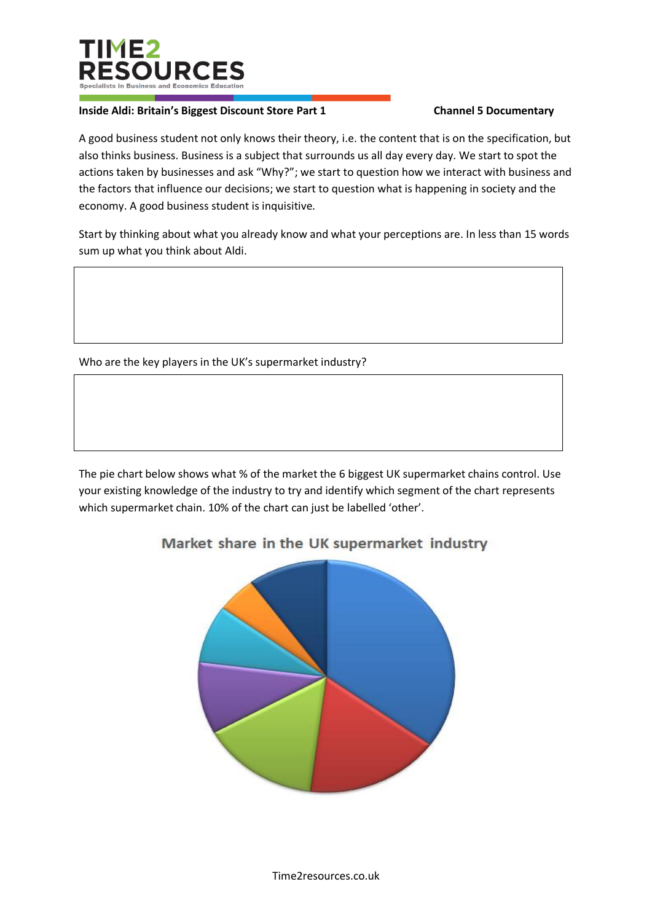

## **Inside Aldi: Britain's Biggest Discount Store Part 1 Channel 5 Documentary**

A good business student not only knows their theory, i.e. the content that is on the specification, but also thinks business. Business is a subject that surrounds us all day every day. We start to spot the actions taken by businesses and ask "Why?"; we start to question how we interact with business and the factors that influence our decisions; we start to question what is happening in society and the economy. A good business student is inquisitive.

Start by thinking about what you already know and what your perceptions are. In less than 15 words sum up what you think about Aldi.

## Who are the key players in the UK's supermarket industry?

The pie chart below shows what % of the market the 6 biggest UK supermarket chains control. Use your existing knowledge of the industry to try and identify which segment of the chart represents which supermarket chain. 10% of the chart can just be labelled 'other'.

## Market share in the UK supermarket industry

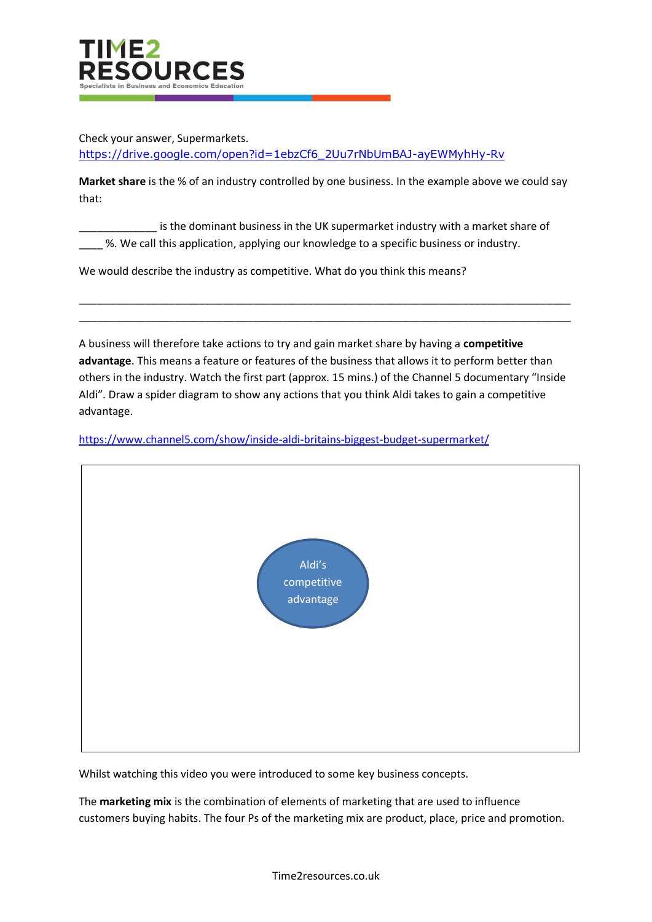

Check your answer, Supermarkets. [https://drive.google.com/open?id=1ebzCf6\\_2Uu7rNbUmBAJ-ayEWMyhHy-Rv](https://drive.google.com/open?id=1ebzCf6_2Uu7rNbUmBAJ-ayEWMyhHy-Rv)

**Market share** is the % of an industry controlled by one business. In the example above we could say that:

is the dominant business in the UK supermarket industry with a market share of \_\_\_\_ %. We call this application, applying our knowledge to a specific business or industry.

We would describe the industry as competitive. What do you think this means?

A business will therefore take actions to try and gain market share by having a **competitive advantage**. This means a feature or features of the business that allows it to perform better than others in the industry. Watch the first part (approx. 15 mins.) of the Channel 5 documentary "Inside Aldi". Draw a spider diagram to show any actions that you think Aldi takes to gain a competitive advantage.

\_\_\_\_\_\_\_\_\_\_\_\_\_\_\_\_\_\_\_\_\_\_\_\_\_\_\_\_\_\_\_\_\_\_\_\_\_\_\_\_\_\_\_\_\_\_\_\_\_\_\_\_\_\_\_\_\_\_\_\_\_\_\_\_\_\_\_\_\_\_\_\_\_\_\_\_\_\_\_\_\_\_ \_\_\_\_\_\_\_\_\_\_\_\_\_\_\_\_\_\_\_\_\_\_\_\_\_\_\_\_\_\_\_\_\_\_\_\_\_\_\_\_\_\_\_\_\_\_\_\_\_\_\_\_\_\_\_\_\_\_\_\_\_\_\_\_\_\_\_\_\_\_\_\_\_\_\_\_\_\_\_\_\_\_

<https://www.channel5.com/show/inside-aldi-britains-biggest-budget-supermarket/>



Whilst watching this video you were introduced to some key business concepts.

The **marketing mix** is the combination of elements of marketing that are used to influence customers buying habits. The four Ps of the marketing mix are product, place, price and promotion.